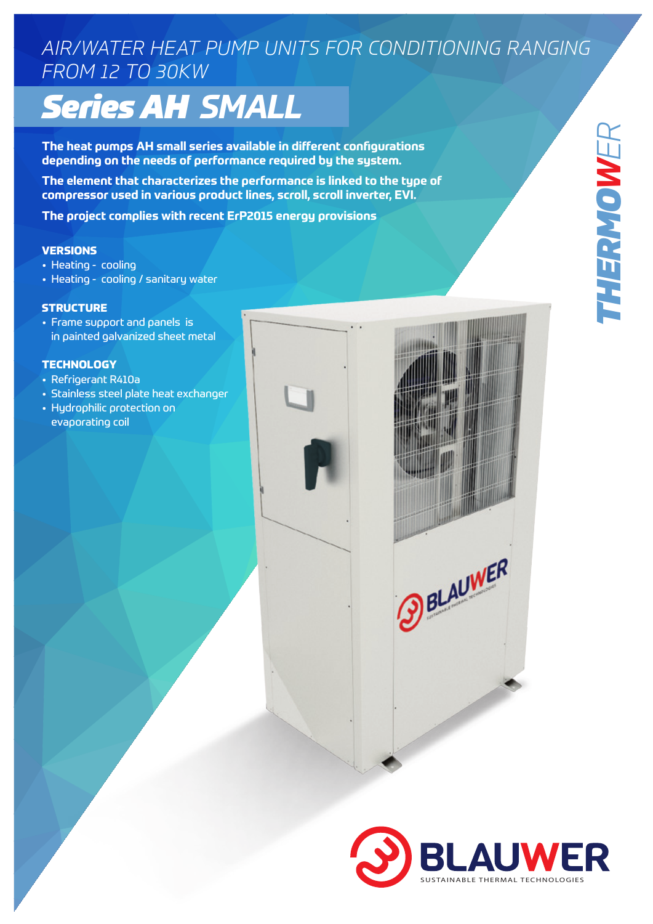## *AIR/WATER HEAT PUMP UNITS FOR CONDITIONING RANGING FROM 12 TO 30KW*

# *Series AH SMALL*

**The heat pumps AH small series available in different configurations depending on the needs of performance required by the system.**

**The element that characterizes the performance is linked to the type of compressor used in various product lines, scroll, scroll inverter, EVI.** 

**The project complies with recent ErP2015 energy provisions** 

#### **VERSIONS**

- Heating cooling
- Heating cooling / sanitary water

#### **STRUCTURE**

• Frame support and panels is in painted galvanized sheet metal

### **TECHNOLOGY**

- Refrigerant R410a
- Stainless steel plate heat exchanger
- Hydrophilic protection on evaporating coil